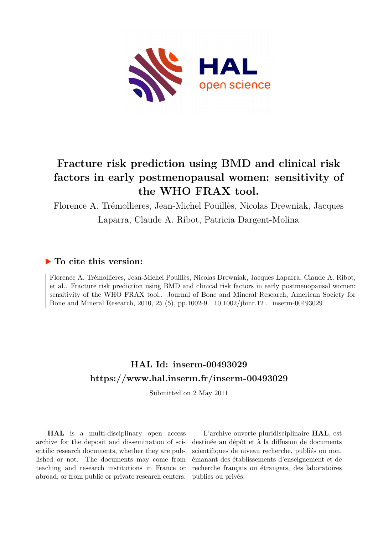

# **Fracture risk prediction using BMD and clinical risk factors in early postmenopausal women: sensitivity of the WHO FRAX tool.**

Florence A. Trémollieres, Jean-Michel Pouillès, Nicolas Drewniak, Jacques Laparra, Claude A. Ribot, Patricia Dargent-Molina

## **To cite this version:**

Florence A. Trémollieres, Jean-Michel Pouillès, Nicolas Drewniak, Jacques Laparra, Claude A. Ribot, et al.. Fracture risk prediction using BMD and clinical risk factors in early postmenopausal women: sensitivity of the WHO FRAX tool.. Journal of Bone and Mineral Research, American Society for Bone and Mineral Research, 2010, 25 (5), pp.1002-9.  $10.1002$ /jbmr.12. inserm-00493029

## **HAL Id: inserm-00493029 <https://www.hal.inserm.fr/inserm-00493029>**

Submitted on 2 May 2011

**HAL** is a multi-disciplinary open access archive for the deposit and dissemination of scientific research documents, whether they are published or not. The documents may come from teaching and research institutions in France or abroad, or from public or private research centers.

L'archive ouverte pluridisciplinaire **HAL**, est destinée au dépôt et à la diffusion de documents scientifiques de niveau recherche, publiés ou non, émanant des établissements d'enseignement et de recherche français ou étrangers, des laboratoires publics ou privés.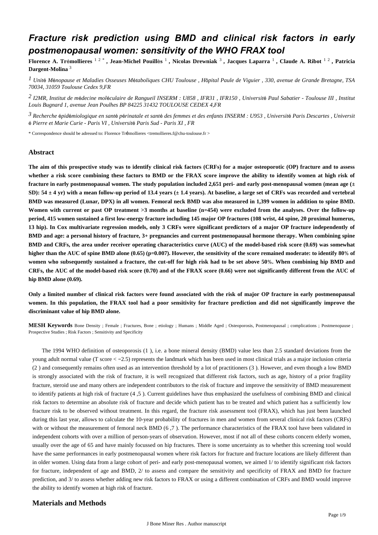## *Fracture risk prediction using BMD and clinical risk factors in early postmenopausal women: sensitivity of the WHO FRAX tool*

**Florence A. Tr**é**mollieres** 1 2 \* **, Jean-Michel Pouill**è**s** <sup>1</sup> **, Nicolas Drewniak** <sup>3</sup> **, Jacques Laparra** <sup>1</sup> **, Claude A. Ribot** 1 2 **, Patricia Dargent-Molina** <sup>3</sup>

*Unit M nopause et Maladies Osseuses M taboliques 1* <sup>é</sup> <sup>é</sup> <sup>é</sup> *CHU Toulouse , H*ô*pital Paule de Viguier , 330, avenue de Grande Bretagne, TSA 70034, 31059 Toulouse Cedex 9,FR*

*I2MR, Institut de m decine mol culaire de Rangueil 2* <sup>é</sup> <sup>é</sup> *INSERM : U858 , IFR31 , IFR150 , Universit*é *Paul Sabatier - Toulouse III , Institut Louis Bugnard 1, avenue Jean Poulhes BP 84225 31432 TOULOUSE CEDEX 4,FR*

<sup>3</sup> Recherche épidémiologique en santé périnatale et santé des femmes et des enfants INSERM : U953, Université Paris Descartes, Universit é *Pierre et Marie Curie - Paris VI , Universit*é *Paris Sud - Paris XI , FR*

\* Correspondence should be adressed to: Florence Trémollieres <tremollieres.f@chu-toulouse.fr >

### **Abstract**

**The aim of this prospective study was to identify clinical risk factors (CRFs) for a major osteoporotic (OP) fracture and to assess whether a risk score combining these factors to BMD or the FRAX score improve the ability to identify women at high risk of fracture in early postmenopausal women. The study population included 2,651 peri- and early post-menopausal women (mean age (**± **SD): 54** ± **4 yr) with a mean follow-up period of 13.4 years (**± **1.4 years). At baseline, a large set of CRFs was recorded and vertebral BMD was measured (Lunar, DPX) in all women. Femoral neck BMD was also measured in 1,399 women in addition to spine BMD. Women with current or past OP treatment >3 months at baseline (n**=**454) were excluded from the analyses. Over the follow-up period, 415 women sustained a first low-energy fracture including 145 major OP fractures (108 wrist, 44 spine, 20 proximal humerus, 13 hip). In Cox multivariate regression models, only 3 CRFs were significant predictors of a major OP fracture independently of BMD and age: a personal history of fracture, 3**+ **pregnancies and current postmenopausal hormone therapy. When combining spine BMD and CRFs, the area under receiver operating characteristics curve (AUC) of the model-based risk score (0.69) was somewhat higher than the AUC of spine BMD alone (0.65) (p**=**0.007). However, the sensitivity of the score remained moderate: to identify 80**% **of women who subsequently sustained a fracture, the cut-off for high risk had to be set above 50**%**. When combining hip BMD and CRFs, the AUC of the model-based risk score (0.70) and of the FRAX score (0.66) were not significantly different from the AUC of hip BMD alone (0.69).**

**Only a limited number of clinical risk factors were found associated with the risk of major OP fracture in early postmenopausal women. In this population, the FRAX tool had a poor sensitivity for fracture prediction and did not significantly improve the discriminant value of hip BMD alone.**

**MESH Keywords** Bone Density ; Female ; Fractures, Bone ; etiology ; Humans ; Middle Aged ; Osteoporosis, Postmenopausal ; complications ; Postmenopause ; Prospective Studies ; Risk Factors ; Sensitivity and Specificity

The 1994 WHO definition of osteoporosis (1 ), i.e. a bone mineral density (BMD) value less than 2.5 standard deviations from the young adult normal value (T score < −2.5) represents the landmark which has been used in most clinical trials as a major inclusion criteria (2 ) and consequently remains often used as an intervention threshold by a lot of practitioners (3 ). However, and even though a low BMD is strongly associated with the risk of fracture, it is well recognized that different risk factors, such as age, history of a prior fragility fracture, steroid use and many others are independent contributors to the risk of fracture and improve the sensitivity of BMD measurement to identify patients at high risk of fracture (4 ,5 ). Current guidelines have thus emphasized the usefulness of combining BMD and clinical risk factors to determine an absolute risk of fracture and decide which patient has to be treated and which patient has a sufficiently low fracture risk to be observed without treatment. In this regard, the fracture risk assessment tool (FRAX), which has just been launched during this last year, allows to calculate the 10-year probability of fractures in men and women from several clinical risk factors (CRFs) with or without the measurement of femoral neck BMD (6,7). The performance characteristics of the FRAX tool have been validated in independent cohorts with over a million of person-years of observation. However, most if not all of these cohorts concern elderly women, usually over the age of 65 and have mainly focussed on hip fractures. There is some uncertainty as to whether this screening tool would have the same performances in early postmenopausal women where risk factors for fracture and fracture locations are likely different than in older women. Using data from a large cohort of peri- and early post-menopausal women, we aimed 1/ to identify significant risk factors for fracture, independent of age and BMD, 2/ to assess and compare the sensitivity and specificity of FRAX and BMD for fracture prediction, and 3/ to assess whether adding new risk factors to FRAX or using a different combination of CRFs and BMD would improve the ability to identify women at high risk of fracture.

## **Materials and Methods**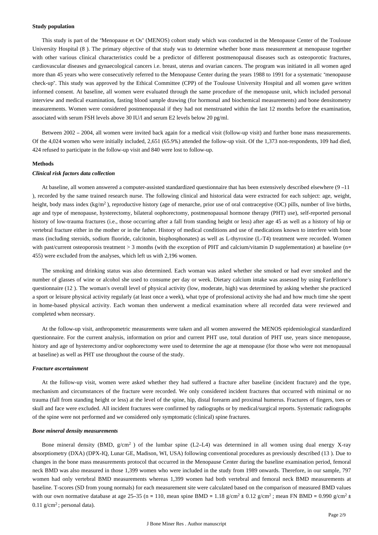#### **Study population**

This study is part of the "Menopause et Os" (MENOS) cohort study which was conducted in the Menopause Center of the Toulouse University Hospital (8 ). The primary objective of that study was to determine whether bone mass measurement at menopause together with other various clinical characteristics could be a predictor of different postmenopausal diseases such as osteoporotic fractures, cardiovascular diseases and gynaecological cancers i.e. breast, uterus and ovarian cancers. The program was initiated in all women aged more than 45 years who were consecutively referred to the Menopause Center during the years 1988 to 1991 for a systematic "menopause check-up". This study was approved by the Ethical Committee (CPP) of the Toulouse University Hospital and all women gave written informed consent. At baseline, all women were evaluated through the same procedure of the menopause unit, which included personal interview and medical examination, fasting blood sample drawing (for hormonal and biochemical measurements) and bone densitometry measurements. Women were considered postmenopausal if they had not menstruated within the last 12 months before the examination, associated with serum FSH levels above 30 IU/l and serum E2 levels below 20 pg/ml.

Between 2002 – 2004, all women were invited back again for a medical visit (follow-up visit) and further bone mass measurements. Of the 4,024 women who were initially included, 2,651 (65.9%) attended the follow-up visit. Of the 1,373 non-respondents, 109 had died, 424 refused to participate in the follow-up visit and 840 were lost to follow-up.

#### **Methods**

### *Clinical risk factors data collection*

At baseline, all women answered a computer-assisted standardized questionnaire that has been extensively described elsewhere (9 –11 ), recorded by the same trained research nurse. The following clinical and historical data were extracted for each subject: age, weight, height, body mass index  $(kg/m<sup>2</sup>)$ , reproductive history (age of menarche, prior use of oral contraceptive (OC) pills, number of live births, age and type of menopause, hysterectomy, bilateral oophorectomy, postmenopausal hormone therapy (PHT) use), self-reported personal history of low-trauma fractures (i.e., those occurring after a fall from standing height or less) after age 45 as well as a history of hip or vertebral fracture either in the mother or in the father. History of medical conditions and use of medications known to interfere with bone mass (including steroids, sodium fluoride, calcitonin, bisphosphonates) as well as L-thyroxine (L-T4) treatment were recorded. Women with past/current osteoporosis treatment > 3 months (with the exception of PHT and calcium/vitamin D supplementation) at baseline (n= 455) were excluded from the analyses, which left us with 2,196 women.

The smoking and drinking status was also determined. Each woman was asked whether she smoked or had ever smoked and the number of glasses of wine or alcohol she used to consume per day or week. Dietary calcium intake was assessed by using Fardellone's questionnaire (12 ). The woman's overall level of physical activity (low, moderate, high) was determined by asking whether she practiced a sport or leisure physical activity regularly (at least once a week), what type of professional activity she had and how much time she spent in home-based physical activity. Each woman then underwent a medical examination where all recorded data were reviewed and completed when necessary.

At the follow-up visit, anthropometric measurements were taken and all women answered the MENOS epidemiological standardized questionnaire. For the current analysis, information on prior and current PHT use, total duration of PHT use, years since menopause, history and age of hysterectomy and/or oophorectomy were used to determine the age at menopause (for those who were not menopausal at baseline) as well as PHT use throughout the course of the study.

#### *Fracture ascertainment*

At the follow-up visit, women were asked whether they had suffered a fracture after baseline (incident fracture) and the type, mechanism and circumstances of the fracture were recorded. We only considered incident fractures that occurred with minimal or no trauma (fall from standing height or less) at the level of the spine, hip, distal forearm and proximal humerus. Fractures of fingers, toes or skull and face were excluded. All incident fractures were confirmed by radiographs or by medical/surgical reports. Systematic radiographs of the spine were not performed and we considered only symptomatic (clinical) spine fractures.

#### *Bone mineral density measurements*

Bone mineral density (BMD,  $g/cm^2$ ) of the lumbar spine (L2-L4) was determined in all women using dual energy X-ray absorptiometry (DXA) (DPX-IQ, Lunar GE, Madison, WI, USA) following conventional procedures as previously described (13 ). Due to changes in the bone mass measurements protocol that occurred in the Menopause Center during the baseline examination period, femoral neck BMD was also measured in those 1,399 women who were included in the study from 1989 onwards. Therefore, in our sample, 797 women had only vertebral BMD measurements whereas 1,399 women had both vertebral and femoral neck BMD measurements at baseline. T-scores (SD from young normals) for each measurement site were calculated based on the comparison of measured BMD values with our own normative database at age 25–35 (n = 110, mean spine BMD = 1.18 g/cm<sup>2</sup> ± 0.12 g/cm<sup>2</sup>; mean FN BMD = 0.990 g/cm<sup>2</sup> ± 0.11  $g/cm^2$ ; personal data).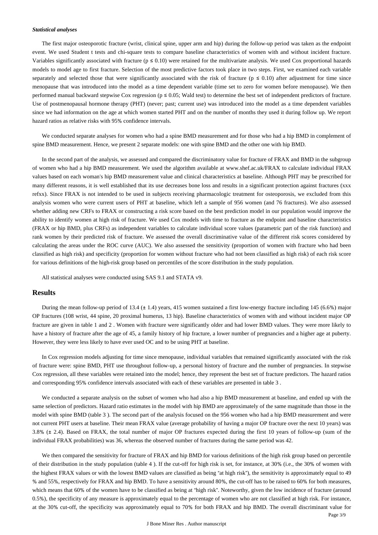#### *Statistical analyses*

The first major osteoporotic fracture (wrist, clinical spine, upper arm and hip) during the follow-up period was taken as the endpoint event. We used Student t tests and chi-square tests to compare baseline characteristics of women with and without incident fracture. Variables significantly associated with fracture ( $p \le 0.10$ ) were retained for the multivariate analysis. We used Cox proportional hazards models to model age to first fracture. Selection of the most predictive factors took place in two steps. First, we examined each variable separately and selected those that were significantly associated with the risk of fracture ( $p \le 0.10$ ) after adjustment for time since menopause that was introduced into the model as a time dependent variable (time set to zero for women before menopause). We then performed manual backward stepwise Cox regression ( $p \le 0.05$ ; Wald test) to determine the best set of independent predictors of fracture. Use of postmenopausal hormone therapy (PHT) (never; past; current use) was introduced into the model as a time dependent variables since we had information on the age at which women started PHT and on the number of months they used it during follow up. We report hazard ratios as relative risks with 95% confidence intervals.

We conducted separate analyses for women who had a spine BMD measurement and for those who had a hip BMD in complement of spine BMD measurement. Hence, we present 2 separate models: one with spine BMD and the other one with hip BMD.

In the second part of the analysis, we assessed and compared the discriminatory value for fracture of FRAX and BMD in the subgroup of women who had a hip BMD measurement. We used the algorithm available at www.shef.ac.uk/FRAX to calculate individual FRAX values based on each woman's hip BMD measurement value and clinical characteristics at baseline. Although PHT may be prescribed for many different reasons, it is well established that its use decreases bone loss and results in a significant protection against fractures (xxx refxx). Since FRAX is not intended to be used in subjects receiving pharmacologic treatment for osteoporosis, we excluded from this analysis women who were current users of PHT at baseline, which left a sample of 956 women (and 76 fractures). We also assessed whether adding new CRFs to FRAX or constructing a risk score based on the best prediction model in our population would improve the ability to identify women at high risk of fracture. We used Cox models with time to fracture as the endpoint and baseline characteristics (FRAX or hip BMD, plus CRFs) as independent variables to calculate individual score values (parametric part of the risk function) and rank women by their predicted risk of fracture. We assessed the overall discriminative value of the different risk scores considered by calculating the areas under the ROC curve (AUC). We also assessed the sensitivity (proportion of women with fracture who had been classified as high risk) and specificity (proportion for women without fracture who had not been classified as high risk) of each risk score for various definitions of the high-risk group based on percentiles of the score distribution in the study population.

All statistical analyses were conducted using SAS 9.1 and STATA v9.

#### **Results**

During the mean follow-up period of 13.4 (± 1.4) years, 415 women sustained a first low-energy fracture including 145 (6.6%) major OP fractures (108 wrist, 44 spine, 20 proximal humerus, 13 hip). Baseline characteristics of women with and without incident major OP fracture are given in table 1 and 2 . Women with fracture were significantly older and had lower BMD values. They were more likely to have a history of fracture after the age of 45, a family history of hip fracture, a lower number of pregnancies and a higher age at puberty. However, they were less likely to have ever used OC and to be using PHT at baseline.

In Cox regression models adjusting for time since menopause, individual variables that remained significantly associated with the risk of fracture were: spine BMD, PHT use throughout follow-up, a personal history of fracture and the number of pregnancies. In stepwise Cox regression, all these variables were retained into the model; hence, they represent the best set of fracture predictors. The hazard ratios and corresponding 95% confidence intervals associated with each of these variables are presented in table 3 .

We conducted a separate analysis on the subset of women who had also a hip BMD measurement at baseline, and ended up with the same selection of predictors. Hazard ratio estimates in the model with hip BMD are approximately of the same magnitude than those in the model with spine BMD (table 3 ). The second part of the analysis focused on the 956 women who had a hip BMD measurement and were not current PHT users at baseline. Their mean FRAX value (average probability of having a major OP fracture over the next 10 years) was 3.8% (± 2.4). Based on FRAX, the total number of major OP fractures expected during the first 10 years of follow-up (sum of the individual FRAX probabilities) was 36, whereas the observed number of fractures during the same period was 42.

We then compared the sensitivity for fracture of FRAX and hip BMD for various definitions of the high risk group based on percentile of their distribution in the study population (table 4 ). If the cut-off for high risk is set, for instance, at 30% (i.e., the 30% of women with the highest FRAX values or with the lowest BMD values are classified as being "at high risk"), the sensitivity is approximately equal to 49 % and 55%, respectively for FRAX and hip BMD. To have a sensitivity around 80%, the cut-off has to be raised to 60% for both measures, which means that 60% of the women have to be classified as being at "high risk". Noteworthy, given the low incidence of fracture (around 0.5%), the specificity of any measure is approximately equal to the percentage of women who are not classified at high risk. For instance, at the 30% cut-off, the specificity was approximately equal to 70% for both FRAX and hip BMD. The overall discriminant value for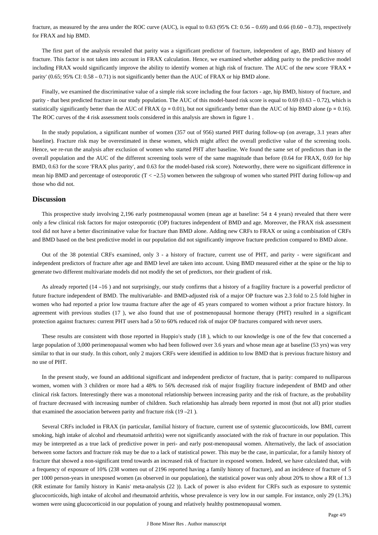fracture, as measured by the area under the ROC curve (AUC), is equal to  $0.63$  (95% CI:  $0.56 - 0.69$ ) and  $0.66$  ( $0.60 - 0.73$ ), respectively for FRAX and hip BMD.

The first part of the analysis revealed that parity was a significant predictor of fracture, independent of age, BMD and history of fracture. This factor is not taken into account in FRAX calculation. Hence, we examined whether adding parity to the predictive model including FRAX would significantly improve the ability to identify women at high risk of fracture. The AUC of the new score 'FRAX + parity' (0.65; 95% CI: 0.58 – 0.71) is not significantly better than the AUC of FRAX or hip BMD alone.

Finally, we examined the discriminative value of a simple risk score including the four factors - age, hip BMD, history of fracture, and parity - that best predicted fracture in our study population. The AUC of this model-based risk score is equal to 0.69 (0.63 – 0.72), which is statistically significantly better than the AUC of FRAX ( $p = 0.01$ ), but not significantly better than the AUC of hip BMD alone ( $p = 0.16$ ). The ROC curves of the 4 risk assessment tools considered in this analysis are shown in figure 1 .

In the study population, a significant number of women (357 out of 956) started PHT during follow-up (on average, 3.1 years after baseline). Fracture risk may be overestimated in these women, which might affect the overall predictive value of the screening tools. Hence, we re-run the analysis after exclusion of women who started PHT after baseline. We found the same set of predictors than in the overall population and the AUC of the different screening tools were of the same magnitude than before (0.64 for FRAX, 0.69 for hip BMD, 0.63 for the score 'FRAX plus parity', and 0.63 for the model-based risk score). Noteworthy, there were no significant difference in mean hip BMD and percentage of osteoporotic (T < −2.5) women between the subgroup of women who started PHT during follow-up and those who did not.

### **Discussion**

This prospective study involving 2.196 early postmenopausal women (mean age at baseline:  $54 \pm 4$  years) revealed that there were only a few clinical risk factors for major osteoporotic (OP) fractures independent of BMD and age. Moreover, the FRAX risk assessment tool did not have a better discriminative value for fracture than BMD alone. Adding new CRFs to FRAX or using a combination of CRFs and BMD based on the best predictive model in our population did not significantly improve fracture prediction compared to BMD alone.

Out of the 38 potential CRFs examined, only 3 - a history of fracture, current use of PHT, and parity - were significant and independent predictors of fracture after age and BMD level are taken into account. Using BMD measured either at the spine or the hip to generate two different multivariate models did not modify the set of predictors, nor their gradient of risk.

As already reported (14 –16 ) and not surprisingly, our study confirms that a history of a fragility fracture is a powerful predictor of future fracture independent of BMD. The multivariable- and BMD-adjusted risk of a major OP fracture was 2.3 fold to 2.5 fold higher in women who had reported a prior low trauma fracture after the age of 45 years compared to women without a prior fracture history. In agreement with previous studies (17 ), we also found that use of postmenopausal hormone therapy (PHT) resulted in a significant protection against fractures: current PHT users had a 50 to 60% reduced risk of major OP fractures compared with never users.

These results are consistent with those reported in Huppio's study (18 ), which to our knowledge is one of the few that concerned a large population of 3,000 perimenopausal women who had been followed over 3.6 years and whose mean age at baseline (53 yrs) was very similar to that in our study. In this cohort, only 2 majors CRFs were identified in addition to low BMD that is previous fracture history and no use of PHT.

In the present study, we found an additional significant and independent predictor of fracture, that is parity: compared to nulliparous women, women with 3 children or more had a 48% to 56% decreased risk of major fragility fracture independent of BMD and other clinical risk factors. Interestingly there was a monotonal relationship between increasing parity and the risk of fracture, as the probability of fracture decreased with increasing number of children. Such relationship has already been reported in most (but not all) prior studies that examined the association between parity and fracture risk (19 –21 ).

Several CRFs included in FRAX (in particular, familial history of fracture, current use of systemic glucocorticoids, low BMI, current smoking, high intake of alcohol and rheumatoid arthritis) were not significantly associated with the risk of fracture in our population. This may be interpreted as a true lack of predictive power in peri- and early post-menopausal women. Alternatively, the lack of association between some factors and fracture risk may be due to a lack of statistical power. This may be the case, in particular, for a family history of fracture that showed a non-significant trend towards an increased risk of fracture in exposed women. Indeed, we have calculated that, with a frequency of exposure of 10% (238 women out of 2196 reported having a family history of fracture), and an incidence of fracture of 5 per 1000 person-years in unexposed women (as observed in our population), the statistical power was only about 20% to show a RR of 1.3 (RR estimate for family history in Kanis' meta-analysis (22 )). Lack of power is also evident for CRFs such as exposure to systemic glucocorticoïds, high intake of alcohol and rheumatoid arthritis, whose prevalence is very low in our sample. For instance, only 29 (1.3%) women were using glucocorticoid in our population of young and relatively healthy postmenopausal women.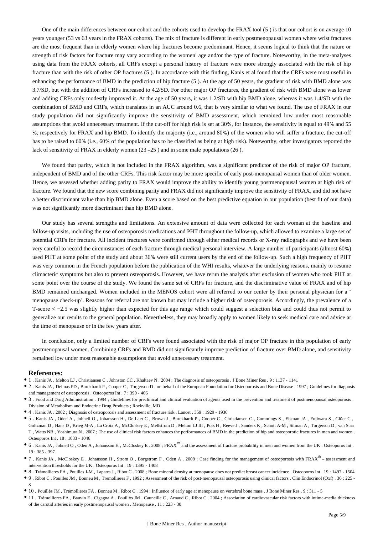One of the main differences between our cohort and the cohorts used to develop the FRAX tool (5 ) is that our cohort is on average 10 years younger (53 vs 63 years in the FRAX cohorts). The mix of fracture is different in early postmenopausal women where wrist fractures are the most frequent than in elderly women where hip fractures become predominant. Hence, it seems logical to think that the nature or strength of risk factors for fracture may vary according to the women' age and/or the type of fracture. Noteworthy, in the meta-analyses using data from the FRAX cohorts, all CRFs except a personal history of fracture were more strongly associated with the risk of hip fracture than with the risk of other OP fractures (5 ). In accordance with this finding, Kanis et al found that the CRFs were most useful in enhancing the performance of BMD in the prediction of hip fracture (5 ). At the age of 50 years, the gradient of risk with BMD alone was 3.7/SD, but with the addition of CRFs increased to 4.2/SD. For other major OP fractures, the gradient of risk with BMD alone was lower and adding CRFs only modestly improved it. At the age of 50 years, it was 1.2/SD with hip BMD alone, whereas it was 1.4/SD with the combination of BMD and CRFs, which translates in an AUC around 0.6, that is very similar to what we found. The use of FRAX in our study population did not significantly improve the sensitivity of BMD assessment, which remained low under most reasonable assumptions that avoid unnecessary treatment. If the cut-off for high risk is set at 30%, for instance, the sensitivity is equal to 49% and 55 %, respectively for FRAX and hip BMD. To identify the majority (i.e., around 80%) of the women who will suffer a fracture, the cut-off has to be raised to 60% (i.e., 60% of the population has to be classified as being at high risk). Noteworthy, other investigators reported the lack of sensitivity of FRAX in elderly women (23 –25 ) and in some male populations (26 ).

We found that parity, which is not included in the FRAX algorithm, was a significant predictor of the risk of major OP fracture, independent of BMD and of the other CRFs. This risk factor may be more specific of early post-menopausal women than of older women. Hence, we assessed whether adding parity to FRAX would improve the ability to identify young postmenopausal women at high risk of fracture. We found that the new score combining parity and FRAX did not significantly improve the sensitivity of FRAX, and did not have a better discriminant value than hip BMD alone. Even a score based on the best predictive equation in our population (best fit of our data) was not significantly more discriminant than hip BMD alone.

Our study has several strengths and limitations. An extensive amount of data were collected for each woman at the baseline and follow-up visits, including the use of osteoporosis medications and PHT throughout the follow-up, which allowed to examine a large set of potential CRFs for fracture. All incident fractures were confirmed through either medical records or X-ray radiographs and we have been very careful to record the circumstances of each fracture through medical personal interview. A large number of participants (almost 60%) used PHT at some point of the study and about 36% were still current users by the end of the follow-up. Such a high frequency of PHT was very common in the French population before the publication of the WHI results, whatever the underlying reasons, mainly to resume climacteric symptoms but also to prevent osteoporosis. However, we have rerun the analysis after exclusion of women who took PHT at some point over the course of the study. We found the same set of CRFs for fracture, and the discriminative value of FRAX and of hip BMD remained unchanged. Women included in the MENOS cohort were all referred to our center by their personal physician for a " menopause check-up". Reasons for referral are not known but may include a higher risk of osteoporosis. Accordingly, the prevalence of a T-score < −2.5 was slightly higher than expected for this age range which could suggest a selection bias and could thus not permit to generalize our results to the general population. Nevertheless, they may broadly apply to women likely to seek medical care and advice at the time of menopause or in the few years after.

In conclusion, only a limited number of CRFs were found associated with the risk of major OP fracture in this population of early postmenopausal women. Combining CRFs and BMD did not significantly improve prediction of fracture over BMD alone, and sensitivity remained low under most reasonable assumptions that avoid unnecessary treatment.

#### **References:**

- 1 . Kanis JA , Melton LJ , Christiansen C , Johnston CC , Khaltaev N . 2004 ; The diagnosis of osteoporosis . J Bone Miner Res . 9 : 1137 1141
- 2 . Kanis JA , Delmas PD , Burckhardt P , Cooper C , Torgerson D . on behalf of the European Foundation for Osteoporosis and Bone Disease . 1997 ; Guidelines for diagnosis and management of osteoporosis . Osteoporos Int . 7 : 390 - 406
- 3 . Food and Drug Administration . 1994 ; Guidelines for preclinical and clinical evaluation of agents used in the prevention and treatment of postmenopausal osteoporosis . Division of Metabolism and Endocrine Drug Products ; Rockville, MD
- 4 . Kanis JA . 2002 ; Diagnosis of osteoporosis and assessment of fracture risk . Lancet . 359 : 1929 1936
- 5 . Kanis JA , Oden A , Johnell O , Johansson H , De Laet C , Brown J , Burckhardt P , Cooper C , Christiansen C , Cummings S , Eisman JA , Fujiwara S , Glüer C , Goltzman D , Hans D , Krieg M-A , La Croix A , McCloskey E , Mellstrom D , Melton LJ III , Pols H , Reeve J , Sanders K , Schott A-M , Silman A , Torgerson D , van Staa T , Watts NB , Yoshimura N . 2007 ; The use of clinical risk factors enhances the performances of BMD in the prediction of hip and osteoporotic fractures in men and women . Osteoporos Int . 18 : 1033 - 1046
- <sup>●</sup> 6. Kanis JA, Johnell O, Oden A, Johansson H, McCloskey E. 2008; FRAX<sup>™</sup> and the assessment of fracture probability in men and women from the UK. Osteoporos Int. 19 : 385 - 397
- 7. Kanis JA, McCloskey E, Johansson H, Strom O, Borgstrom F, Oden A. 2008; Case finding for the management of osteoporosis with FRAX<sup>®</sup> assessment and intervention thresholds for the UK . Osteoporos Int . 19 : 1395 - 1408
- 8 . Trémollieres FA , Pouilles J-M , Laparra J , Ribot C . 2008 ; Bone mineral density at menopause does not predict breast cancer incidence . Osteoporos Int . 19 : 1497 1504 9 . Ribot C , Pouilles JM , Bonneu M , Tremollieres F . 1992 ; Assessment of the risk of post-menopausal osteoporosis using clinical factors . Clin Endocrinol (Oxf) . 36 : 225 - 8
- 10 . Pouillès JM , Trémollieres FA , Bonneu M , Ribot C . 1994 ; Influence of early age at menopause on vertebral bone mass . J Bone Miner Res . 9 : 311 5
- 11 . Trémollieres FA , Bauvin E , Cigagna A , Pouillès JM , Cauneille C , Arnaud C , Ribot C . 2004 ; Association of cardiovascular risk factors with intima-media thickness of the carotid arteries in early postmenopausal women . Menopause . 11 : 223 - 30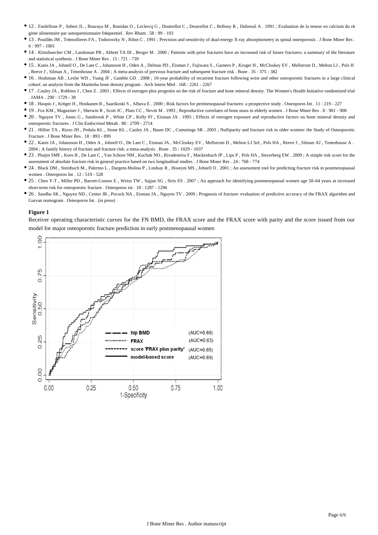- 12 . Fardellone P , Sebert JL , Bouraya M , Bonidan O , Leclercq G , Doutrellot C , Doutrellot C , Bellony R , Dubreuil A . 1991 ; Evaluation de la teneur en calcium du ré gime alimentaire par autoquestionnaire fréquentiel . Rev Rhum . 58 : 99 - 103
- 13 . Pouillès JM , Trémollieres FA , Todorosvky N , Ribot C . 1991 ; Precision and sensitivity of dual-energy X-ray absorptiometry in spinal osteoporosis . J Bone Miner Res . 6 : 997 - 1001
- 14 . Klotzbuecher CM , Landsman PB , Abbott TA III , Berger M . 2000 ; Patients with prior fractures have an increased risk of future fractures: a summary of the literature and statistical synthesis . J Bone Miner Res . 15 : 721 - 739
- 15 . Kanis JA , Johnell O , De Laet C , Johansson H , Oden A , Delmas PD , Eisman J , Fujiwara S , Garnero P , Kroger H , McCloskey EV , Mellstrom D , Melton LJ , Pols H , Reeve J , Silman A , Tenenhouse A . 2004 ; A meta-analysis of previous fracture and subsequent fracture risk . Bone . 35 : 375 - 382
- 16 . Hodsman AB , Leslie WD , Tsang JF , Gamble GD . 2008 ; 10-year probability of recurrent fracture following wrist and other osteoporotic fractures in a large clinical cohort: an analysis from the Manitoba bone density program . Arch Intern Med . 168 : 2261 - 2267
- 17 . Cauley JA , Robbins J , Chen Z . 2003 ; Effects of estrogen plus progestin on the risk of fracture and bone mineral density. The Women's Health Initiative randomized trial . JAMA . 290 : 1729 - 38
- 18 . Huopio J , Kröger H , Honkanen R , Saarikoski S , Alhava E . 2000 ; Risk factors for perimenopausal fractures: a prospective study . Osteoporos Int . 11 : 219 227
- 19 . Fox KM , Magaziner J , Sherwin R , Scott JC , Plato CC , Nevitt M . 1993 ; Reproductive correlates of bone mass in elderly women . J Bone Miner Res . 8 : 901 908
- 20 . Nguyen TV , Jones G , Sambrook P , White CP , Kelly PJ , Eisman JA . 1995 ; Effects of estrogen exposure and reproductive factors on bone mineral density and osteoporotic fractures . J Clin Endocrinol Metab . 80 : 2709 - 2714
- 21 . Hillier TA , Rizzo JH , Pedula KL , Stone KL , Cauley JA , Bauer DC , Cummings SR . 2003 ; Nulliparity and fracture risk in older women: the Study of Osteoporotic Fracture . J Bone Miner Res . 18 : 893 - 899
- 22 . Kanis JA , Johansson H , Oden A , Johnell O , De Laet C , Eisman JA , McCloskey EV , Mellstrom D , Melton LJ 3rd , Pols HA , Reeve J , Silman AJ , Tenenhouse A . 2004 ; A family history of fracture and fracture risk: a meta-analysis . Bone . 35 : 1029 - 1037
- 23 . Pluijm SMF , Koes B , De Laet C , Van Schoor NM , Kuchuk NO , Rivadeneira F , Mackenbach JP , Lips P , Pols HA , Steyerberg EW . 2009 ; A simple risk score for the assessment of absolute fracture risk in general practice based on two longitudinal studies . J Bone Miner Res . 24 : 768 - 774
- 24 . Black DM , Steinbuch M , Palermo L , Dargent-Molina P , Lindsay R , Hoseyni MS , Johnell O . 2001 ; An assessment tool for predicting fracture risk in postmenopausal women . Osteoporos Int . 12 : 519 - 528
- 25 . Chen Y-T , Miller PD , Barrett-Connor E , Weiss TW , Sajjan SG , Siris ES . 2007 ; An approach for identifying postmenopausal women age 50–64 years at increased short-term risk for osteoporotic fracture . Osteoporos int . 18 : 1287 - 1296
- 26 . Sandhu SK , Nguyen ND , Center JR , Pocock NA , Eisman JA , Nguyen TV . 2009 ; Prognosis of fracture: evaluation of predictive accuracy of the FRAX algorithm and Garvan nomogram . Osteoporos Int . (in press)

#### **Figure 1**

Receiver operating characteristic curves for the FN BMD, the FRAX score and the FRAX score with parity and the score issued from our model for major osteoporotic fracture prediction in early postmenopausal women

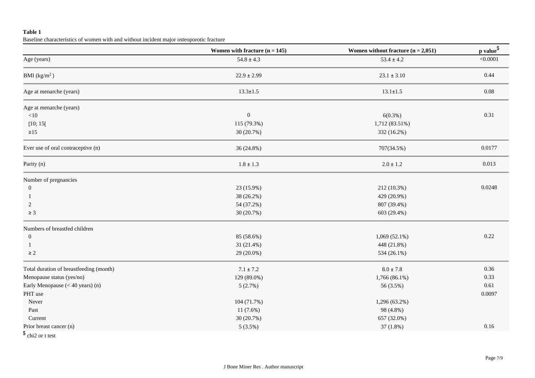## **Table 1**

Baseline characteristics of women with and without incident major osteoporotic fracture

|                                         | Women with fracture $(n = 145)$ | Women without fracture $(n = 2,051)$ | p value <sup>\$</sup> |  |
|-----------------------------------------|---------------------------------|--------------------------------------|-----------------------|--|
| Age (years)                             | $54.8 \pm 4.3$                  | $53.4 \pm 4.2$                       | < 0.0001              |  |
| BMI $(kg/m^2)$                          | $22.9 \pm 2.99$                 | $23.1 \pm 3.10$                      | 0.44                  |  |
| Age at menarche (years)                 | $13.3 \pm 1.5$                  | $13.1 \pm 1.5$                       | 0.08                  |  |
| Age at menarche (years)                 |                                 |                                      |                       |  |
| <10                                     | $\boldsymbol{0}$                | 6(0.3%)                              | 0.31                  |  |
| [10; 15]                                | 115 (79.3%)                     | 1,712 (83.51%)                       |                       |  |
| $\geq 15$                               | 30 (20.7%)                      | 332 (16.2%)                          |                       |  |
| Ever use of oral contraceptive (n)      | 36 (24.8%)                      | 707(34.5%)                           | 0.0177                |  |
| Parity (n)                              | $1.8 \pm 1.3$                   | $2.0\pm1.2$                          | 0.013                 |  |
| Number of pregnancies                   |                                 |                                      |                       |  |
| $\mathbf{0}$                            | 23 (15.9%)                      | 212 (10.3%)                          | 0.0248                |  |
| -1                                      | 38 (26.2%)                      | 429 (20.9%)                          |                       |  |
| 2                                       | 54 (37.2%)                      | 807 (39.4%)                          |                       |  |
| $\geq 3$                                | 30 (20.7%)                      | 603 (29.4%)                          |                       |  |
| Numbers of breastfed children           |                                 |                                      |                       |  |
| $\boldsymbol{0}$                        | 85 (58.6%)                      | $1,069(52.1\%)$                      | 0.22                  |  |
| 1                                       | 31 (21.4%)                      | 448 (21.8%)                          |                       |  |
| $\geq 2$                                | 29 (20.0%)                      | 534 (26.1%)                          |                       |  |
| Total duration of breastfeeding (month) | $7.1 \pm 7.2$                   | $8.0 \pm 7.8$                        | 0.36                  |  |
| Menopause status (yes/no)               | 129 (89.0%)                     | 1,766 (86.1%)                        | 0.33                  |  |
| Early Menopause $(< 40$ years) (n)      | 5(2.7%)                         | 56 (3.5%)                            | 0.61                  |  |
| PHT use                                 |                                 |                                      | 0.0097                |  |
| Never                                   | 104 (71.7%)                     | 1,296 (63.2%)                        |                       |  |
| Past                                    | 11(7.6%)                        | 98 (4.8%)                            |                       |  |
| Current                                 | 30 (20.7%)                      | 657 (32.0%)                          |                       |  |
| Prior breast cancer (n)                 | $5(3.5\%)$                      | 37(1.8%)                             | 0.16                  |  |
| $\uparrow$                              |                                 |                                      |                       |  |

\$ chi2 or t test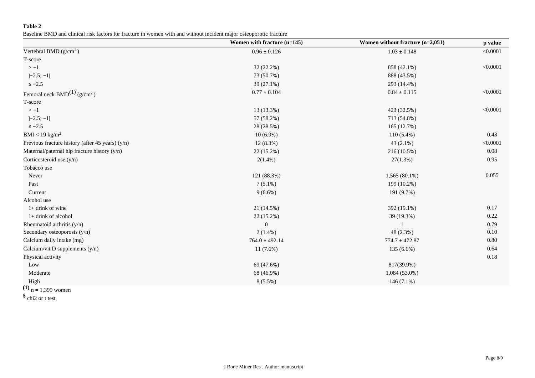## **Table 2**

Baseline BMD and clinical risk factors for fracture in women with and without incident major osteoporotic fracture

|                                                  | Women with fracture (n=145) | Women without fracture $(n=2,051)$ | p value  |
|--------------------------------------------------|-----------------------------|------------------------------------|----------|
| Vertebral BMD $(g/cm2)$                          | $0.96 \pm 0.126$            | $1.03 \pm 0.148$                   | < 0.0001 |
| T-score                                          |                             |                                    |          |
| $> -1$                                           | 32 (22.2%)                  | 858 (42.1%)                        | < 0.0001 |
| $]-2.5; -1]$                                     | 73 (50.7%)                  | 888 (43.5%)                        |          |
| $\le -2.5$                                       | $39(27.1\%)$                | 293 (14.4%)                        |          |
| Femoral neck BMD <sup>(1)</sup> ( $g/cm^2$ )     | $0.77 \pm 0.104$            | $0.84 \pm 0.115$                   | < 0.0001 |
| T-score                                          |                             |                                    |          |
| $> -1$                                           | 13 (13.3%)                  | 423 (32.5%)                        | < 0.0001 |
| $]-2.5; -1]$                                     | 57 (58.2%)                  | 713 (54.8%)                        |          |
| $\le -2.5$                                       | 28 (28.5%)                  | 165 (12.7%)                        |          |
| $BMI < 19$ kg/m <sup>2</sup>                     | $10(6.9\%)$                 | $110(5.4\%)$                       | 0.43     |
| Previous fracture history (after 45 years) (y/n) | $12(8.3\%)$                 | $43(2.1\%)$                        | < 0.0001 |
| Maternal/paternal hip fracture history (y/n)     | $22(15.2\%)$                | 216 (10.5%)                        | 0.08     |
| Corticosteroid use (y/n)                         | $2(1.4\%)$                  | 27(1.3%)                           | 0.95     |
| Tobacco use                                      |                             |                                    |          |
| Never                                            | 121 (88.3%)                 | 1,565 (80.1%)                      | 0.055    |
| Past                                             | $7(5.1\%)$                  | 199 (10.2%)                        |          |
| Current                                          | $9(6.6\%)$                  | 191 (9.7%)                         |          |
| Alcohol use                                      |                             |                                    |          |
| 1+ drink of wine                                 | 21 (14.5%)                  | 392 (19.1%)                        | 0.17     |
| 1+ drink of alcohol                              | 22 (15.2%)                  | 39 (19.3%)                         | 0.22     |
| Rheumatoid arthritis (y/n)                       | $\boldsymbol{0}$            |                                    | 0.79     |
| Secondary osteoporosis (y/n)                     | $2(1.4\%)$                  | 48 (2.3%)                          | 0.10     |
| Calcium daily intake (mg)                        | $764.0 \pm 492.14$          | $774.7 \pm 472.87$                 | 0.80     |
| Calcium/vit D supplements (y/n)                  | 11(7.6%)                    | 135 (6.6%)                         | 0.64     |
| Physical activity                                |                             |                                    | 0.18     |
| Low                                              | 69 (47.6%)                  | 817(39.9%)                         |          |
| Moderate                                         | 68 (46.9%)                  | 1,084 (53.0%)                      |          |
| High                                             | $8(5.5\%)$                  | 146 $(7.1\%)$                      |          |

**(1)**  n = 1,399 women

\$ chi2 or t test